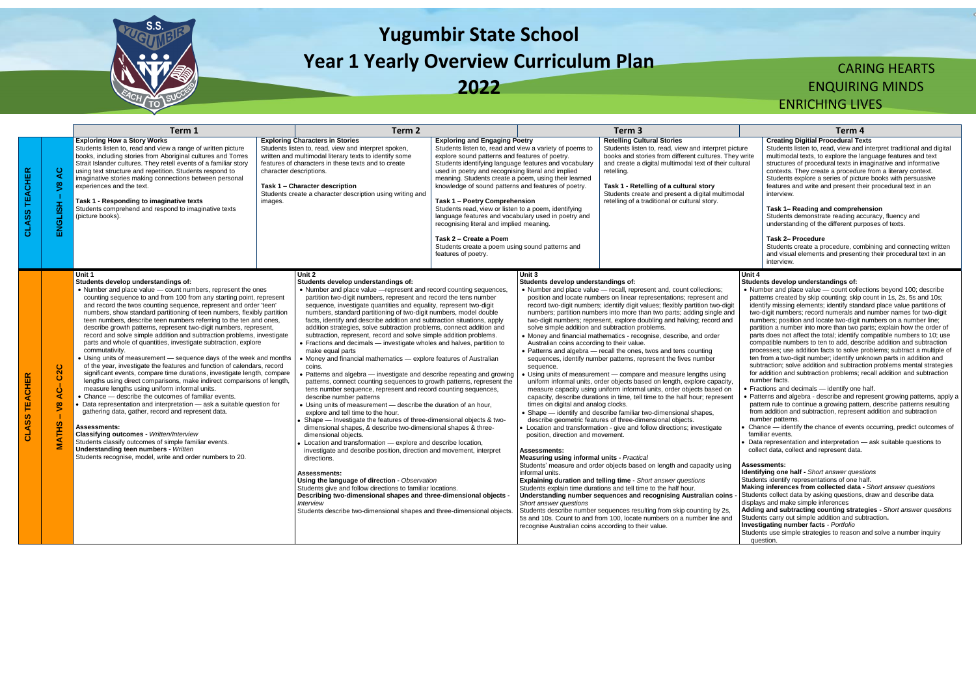

# **Yugumbir State School Year 1 Yearly Overview Curriculum Plan**

**2022**

## CARING HEARTS ENQUIRING MINDS

### ENRICHING LIVES

|                         |                                                                         | Term 1                                                                                                                                                                                                                                                                                                                                                                                                                                                                                                                                                                                                                                                                                                                                                                                                                                                                                                                                                                                                                                                                                                                                                                                                                                                                                                                                                                                                                                |                                    | Term <sub>2</sub>                                                                                                                                                                                                                                                                                                                                                                                                                                                                                                                                                                                                                                                                                                                                                                                                                                                                                                                                                                                                                                                                                                                                                                                                                                                                                                                                                                                                                                                                                                                                                                                                                                                                                                         |                                                                                                                                                                                                                                                                                                                                                                                                                                                                                                                                                                                                                                                                                 |                                                                                                                                                                                                                                                                                                                                                                                                                          | Term 3                                                                                                                                                                                                                                                                                                                                                                                                                                                                                                                                                                                                                                                                                                                                                                                                                                                                                                                                                                                                                                                                                                                                                                                                                                                                                                                                                                                                                                                                                                                                                     | Term 4                                                                                                                                                                                                                                                                                                                                                                                                                                                                                                                                                                                                                                                                                                                                                                                                                                                                                                                                                                                                                                                                                                                                                                                                                                                                                                                                                                                                                               |
|-------------------------|-------------------------------------------------------------------------|---------------------------------------------------------------------------------------------------------------------------------------------------------------------------------------------------------------------------------------------------------------------------------------------------------------------------------------------------------------------------------------------------------------------------------------------------------------------------------------------------------------------------------------------------------------------------------------------------------------------------------------------------------------------------------------------------------------------------------------------------------------------------------------------------------------------------------------------------------------------------------------------------------------------------------------------------------------------------------------------------------------------------------------------------------------------------------------------------------------------------------------------------------------------------------------------------------------------------------------------------------------------------------------------------------------------------------------------------------------------------------------------------------------------------------------|------------------------------------|---------------------------------------------------------------------------------------------------------------------------------------------------------------------------------------------------------------------------------------------------------------------------------------------------------------------------------------------------------------------------------------------------------------------------------------------------------------------------------------------------------------------------------------------------------------------------------------------------------------------------------------------------------------------------------------------------------------------------------------------------------------------------------------------------------------------------------------------------------------------------------------------------------------------------------------------------------------------------------------------------------------------------------------------------------------------------------------------------------------------------------------------------------------------------------------------------------------------------------------------------------------------------------------------------------------------------------------------------------------------------------------------------------------------------------------------------------------------------------------------------------------------------------------------------------------------------------------------------------------------------------------------------------------------------------------------------------------------------|---------------------------------------------------------------------------------------------------------------------------------------------------------------------------------------------------------------------------------------------------------------------------------------------------------------------------------------------------------------------------------------------------------------------------------------------------------------------------------------------------------------------------------------------------------------------------------------------------------------------------------------------------------------------------------|--------------------------------------------------------------------------------------------------------------------------------------------------------------------------------------------------------------------------------------------------------------------------------------------------------------------------------------------------------------------------------------------------------------------------|------------------------------------------------------------------------------------------------------------------------------------------------------------------------------------------------------------------------------------------------------------------------------------------------------------------------------------------------------------------------------------------------------------------------------------------------------------------------------------------------------------------------------------------------------------------------------------------------------------------------------------------------------------------------------------------------------------------------------------------------------------------------------------------------------------------------------------------------------------------------------------------------------------------------------------------------------------------------------------------------------------------------------------------------------------------------------------------------------------------------------------------------------------------------------------------------------------------------------------------------------------------------------------------------------------------------------------------------------------------------------------------------------------------------------------------------------------------------------------------------------------------------------------------------------------|--------------------------------------------------------------------------------------------------------------------------------------------------------------------------------------------------------------------------------------------------------------------------------------------------------------------------------------------------------------------------------------------------------------------------------------------------------------------------------------------------------------------------------------------------------------------------------------------------------------------------------------------------------------------------------------------------------------------------------------------------------------------------------------------------------------------------------------------------------------------------------------------------------------------------------------------------------------------------------------------------------------------------------------------------------------------------------------------------------------------------------------------------------------------------------------------------------------------------------------------------------------------------------------------------------------------------------------------------------------------------------------------------------------------------------------|
| <b>CLASS TEACHER</b>    | $\overline{a}$<br>$\sqrt{8}$<br>ENGLISH                                 | <b>Exploring How a Story Works</b><br>Students listen to, read and view a range of written picture<br>books, including stories from Aboriginal cultures and Torres<br>Strait Islander cultures. They retell events of a familiar story<br>using text structure and repetition. Students respond to<br>imaginative stories making connections between personal<br>experiences and the text.<br>Task 1 - Responding to imaginative texts<br>Students comprehend and respond to imaginative texts<br>(picture books).                                                                                                                                                                                                                                                                                                                                                                                                                                                                                                                                                                                                                                                                                                                                                                                                                                                                                                                    | character descriptions.<br>images. | <b>Exploring Characters in Stories</b><br>Students listen to, read, view and interpret spoken,<br>written and multimodal literary texts to identify some<br>features of characters in these texts and to create<br>Task 1 - Character description<br>Students create a character description using writing and                                                                                                                                                                                                                                                                                                                                                                                                                                                                                                                                                                                                                                                                                                                                                                                                                                                                                                                                                                                                                                                                                                                                                                                                                                                                                                                                                                                                            | <b>Exploring and Engaging Poetry</b><br>Students listen to, read and view a variety of poems to<br>explore sound patterns and features of poetry.<br>Students identifying language features and vocabulary<br>used in poetry and recognising literal and implied<br>meaning. Students create a poem, using their learned<br>knowledge of sound patterns and features of poetry.<br>Task 1 - Poetry Comprehension<br>Students read, view or listen to a poem, identifying<br>language features and vocabulary used in poetry and<br>recognising literal and implied meaning.<br>Task 2 - Create a Poem<br>Students create a poem using sound patterns and<br>features of poetry. |                                                                                                                                                                                                                                                                                                                                                                                                                          | <b>Retelling Cultural Stories</b><br>Students listen to, read, view and interpret picture<br>books and stories from different cultures. They write<br>and create a digital multimodal text of their cultural<br>retelling.<br>Task 1 - Retelling of a cultural story<br>Students create and present a digital multimodal<br>retelling of a traditional or cultural story.                                                                                                                                                                                                                                                                                                                                                                                                                                                                                                                                                                                                                                                                                                                                                                                                                                                                                                                                                                                                                                                                                                                                                                                  | <b>Creating Digitial Procedural Te:</b><br>Students listen to, read, view and<br>multimodal texts, to explore the la<br>structures of procedural texts in ir<br>contexts. They create a procedure<br>Students explore a series of pictu<br>features and write and present the<br>interview.<br>Task 1- Reading and comprehe<br>Students demonstrate reading ac<br>understanding of the different pur<br>Task 2- Procedure<br>Students create a procedure, con<br>and visual elements and presentir<br>interview.                                                                                                                                                                                                                                                                                                                                                                                                                                                                                                                                                                                                                                                                                                                                                                                                                                                                                                                     |
| <b>TEACHER</b><br>CLASS | C <sub>2</sub> C<br>$rac{1}{4}$<br>$\tilde{\mathbf{z}}$<br><b>MATHS</b> | Unit 1<br>Students develop understandings of:<br>• Number and place value - count numbers, represent the ones<br>counting sequence to and from 100 from any starting point, represent<br>and record the twos counting sequence, represent and order 'teen'<br>numbers, show standard partitioning of teen numbers, flexibly partition<br>teen numbers, describe teen numbers referring to the ten and ones,<br>describe growth patterns, represent two-digit numbers, represent,<br>record and solve simple addition and subtraction problems, investigate<br>parts and whole of quantities, investigate subtraction, explore<br>commutativity.<br>• Using units of measurement - sequence days of the week and months<br>of the year, investigate the features and function of calendars, record<br>significant events, compare time durations, investigate length, compare<br>lengths using direct comparisons, make indirect comparisons of length,<br>measure lengths using uniform informal units.<br>• Chance - describe the outcomes of familiar events.<br>Data representation and interpretation - ask a suitable question for<br>gathering data, gather, record and represent data.<br><b>Assessments:</b><br>Classifying outcomes - Written/Interview<br>Students classify outcomes of simple familiar events.<br><b>Understanding teen numbers - Written</b><br>Students recognise, model, write and order numbers to 20. |                                    | Unit 2<br>Students develop understandings of:<br>• Number and place value - represent and record counting sequences,<br>partition two-digit numbers, represent and record the tens number<br>sequence, investigate quantities and equality, represent two-digit<br>numbers, standard partitioning of two-digit numbers, model double<br>facts, identify and describe addition and subtraction situations, apply<br>addition strategies, solve subtraction problems, connect addition and<br>subtraction, represent, record and solve simple addition problems.<br>• Fractions and decimals - investigate wholes and halves, partition to<br>make equal parts<br>• Money and financial mathematics - explore features of Australian<br>coins.<br>Patterns and algebra – investigate and describe repeating and growing<br>patterns, connect counting sequences to growth patterns, represent the<br>tens number sequence, represent and record counting sequences,<br>describe number patterns<br>• Using units of measurement - describe the duration of an hour,<br>explore and tell time to the hour.<br>Shape - Investigate the features of three-dimensional objects & two-<br>dimensional shapes, & describe two-dimensional shapes & three-<br>dimensional objects.<br>Location and transformation - explore and describe location,<br>investigate and describe position, direction and movement, interpret<br>directions.<br>Assessments:<br>Using the language of direction - Observation<br>Students give and follow directions to familiar locations.<br>Describing two-dimensional shapes and three-dimensional objects<br>Interview<br>Students describe two-dimensional shapes and three-dimensional objects |                                                                                                                                                                                                                                                                                                                                                                                                                                                                                                                                                                                                                                                                                 | Unit 3<br>Students develop understandings of:<br>solve simple addition and subtraction problems.<br>Australian coins according to their value.<br>sequence.<br>times on digital and analog clocks.<br>position, direction and movement.<br><b>Assessments:</b><br><b>Measuring using informal units - Practical</b><br>informal units.<br>Short answer questions<br>recognise Australian coins according to their value. | • Number and place value - recall, represent and, count collections;<br>position and locate numbers on linear representations; represent and<br>record two-digit numbers; identify digit values; flexibly partition two-digit<br>numbers; partition numbers into more than two parts; adding single and<br>two-digit numbers; represent, explore doubling and halving; record and<br>• Money and financial mathematics - recognise, describe, and order<br>• Patterns and algebra - recall the ones, twos and tens counting<br>sequences, identify number patterns, represent the fives number<br>Using units of measurement — compare and measure lengths using<br>uniform informal units, order objects based on length, explore capacity,<br>measure capacity using uniform informal units, order objects based on<br>capacity, describe durations in time, tell time to the half hour; represent<br>• Shape - identify and describe familiar two-dimensional shapes,<br>describe geometric features of three-dimensional objects.<br>Location and transformation - give and follow directions; investigate<br>Students' measure and order objects based on length and capacity using<br><b>Explaining duration and telling time - Short answer questions</b><br>Students explain time durations and tell time to the half hour.<br>Understanding number sequences and recognising Australian coins<br>Students describe number sequences resulting from skip counting by 2s,<br>5s and 10s. Count to and from 100, locate numbers on a number line and | Unit 4<br>Students develop understandings of:<br>• Number and place value - count coller<br>patterns created by skip counting; skip<br>identify missing elements; identify stand<br>two-digit numbers; record numerals and<br>numbers; position and locate two-digit r<br>partition a number into more than two p<br>parts does not affect the total; identify c<br>compatible numbers to ten to add, deso<br>processes; use addition facts to solve p<br>ten from a two-digit number; identify un<br>subtraction; solve addition and subtract<br>for addition and subtraction problems; r<br>number facts.<br>• Fractions and decimals - identify one<br>· Patterns and algebra - describe and rep<br>pattern rule to continue a growing patte<br>from addition and subtraction, represen<br>number patterns.<br>Chance - identify the chance of events<br>familiar events.<br>- Data representation and interpretation -<br>collect data, collect and represent data.<br><b>Assessments:</b><br><b>Identifying one half - Short answer quest</b><br>Students identify representations of one has<br>Making inferences from collected data<br>Students collect data by asking questions,<br>displays and make simple inferences<br>Adding and subtracting counting strate<br>Students carry out simple addition and sul<br><b>Investigating number facts - Portfolio</b><br>Students use simple strategies to reason a<br>question. |

|                                 |                                                                                                                                                                                                                                                                                                                                                                                                                                                                                                                                                                                | Term 4                                                                                                                                                                                                                                                                                                                                                                                                                                                                                                                                                                                                                                                                                                                                                                                                                                                                                                                                                                                                                                                                                                                                                                                                                                                                                                                                                                                                                                                                      |  |  |  |  |
|---------------------------------|--------------------------------------------------------------------------------------------------------------------------------------------------------------------------------------------------------------------------------------------------------------------------------------------------------------------------------------------------------------------------------------------------------------------------------------------------------------------------------------------------------------------------------------------------------------------------------|-----------------------------------------------------------------------------------------------------------------------------------------------------------------------------------------------------------------------------------------------------------------------------------------------------------------------------------------------------------------------------------------------------------------------------------------------------------------------------------------------------------------------------------------------------------------------------------------------------------------------------------------------------------------------------------------------------------------------------------------------------------------------------------------------------------------------------------------------------------------------------------------------------------------------------------------------------------------------------------------------------------------------------------------------------------------------------------------------------------------------------------------------------------------------------------------------------------------------------------------------------------------------------------------------------------------------------------------------------------------------------------------------------------------------------------------------------------------------------|--|--|--|--|
| ture<br>/ write<br>tural<br>dal |                                                                                                                                                                                                                                                                                                                                                                                                                                                                                                                                                                                | <b>Creating Digitial Procedural Texts</b><br>Students listen to, read, view and interpret traditional and digital<br>multimodal texts, to explore the language features and text<br>structures of procedural texts in imaginative and informative<br>contexts. They create a procedure from a literary context.<br>Students explore a series of picture books with persuasive<br>features and write and present their procedural text in an<br>interview.                                                                                                                                                                                                                                                                                                                                                                                                                                                                                                                                                                                                                                                                                                                                                                                                                                                                                                                                                                                                                   |  |  |  |  |
|                                 |                                                                                                                                                                                                                                                                                                                                                                                                                                                                                                                                                                                | Task 1– Reading and comprehension<br>Students demonstrate reading accuracy, fluency and<br>understanding of the different purposes of texts.                                                                                                                                                                                                                                                                                                                                                                                                                                                                                                                                                                                                                                                                                                                                                                                                                                                                                                                                                                                                                                                                                                                                                                                                                                                                                                                                |  |  |  |  |
|                                 |                                                                                                                                                                                                                                                                                                                                                                                                                                                                                                                                                                                | <b>Task 2- Procedure</b><br>Students create a procedure, combining and connecting written<br>and visual elements and presenting their procedural text in an<br>interview.                                                                                                                                                                                                                                                                                                                                                                                                                                                                                                                                                                                                                                                                                                                                                                                                                                                                                                                                                                                                                                                                                                                                                                                                                                                                                                   |  |  |  |  |
|                                 | Unit 4                                                                                                                                                                                                                                                                                                                                                                                                                                                                                                                                                                         | Students develop understandings of:<br>• Number and place value - count collections beyond 100; describe<br>patterns created by skip counting; skip count in 1s, 2s, 5s and 10s;<br>identify missing elements; identify standard place value partitions of<br>two-digit numbers; record numerals and number names for two-digit<br>numbers; position and locate two-digit numbers on a number line;<br>partition a number into more than two parts; explain how the order of<br>parts does not affect the total; identify compatible numbers to 10; use<br>compatible numbers to ten to add, describe addition and subtraction<br>processes; use addition facts to solve problems; subtract a multiple of<br>ten from a two-digit number; identify unknown parts in addition and<br>subtraction; solve addition and subtraction problems mental strategies<br>for addition and subtraction problems; recall addition and subtraction<br>number facts.<br>• Fractions and decimals - identify one half.<br>• Patterns and algebra - describe and represent growing patterns, apply a<br>pattern rule to continue a growing pattern, describe patterns resulting<br>from addition and subtraction, represent addition and subtraction<br>number patterns.<br>• Chance — identify the chance of events occurring, predict outcomes of<br>familiar events.<br>• Data representation and interpretation – ask suitable questions to<br>collect data, collect and represent data. |  |  |  |  |
|                                 | <b>Assessments:</b><br><b>Identifying one half - Short answer questions</b><br>Students identify representations of one half.<br>Making inferences from collected data - Short answer questions<br>Students collect data by asking questions, draw and describe data<br>displays and make simple inferences<br>Adding and subtracting counting strategies - Short answer questions<br>Students carry out simple addition and subtraction.<br><b>Investigating number facts - Portfolio</b><br>Students use simple strategies to reason and solve a number inquiry<br>question. |                                                                                                                                                                                                                                                                                                                                                                                                                                                                                                                                                                                                                                                                                                                                                                                                                                                                                                                                                                                                                                                                                                                                                                                                                                                                                                                                                                                                                                                                             |  |  |  |  |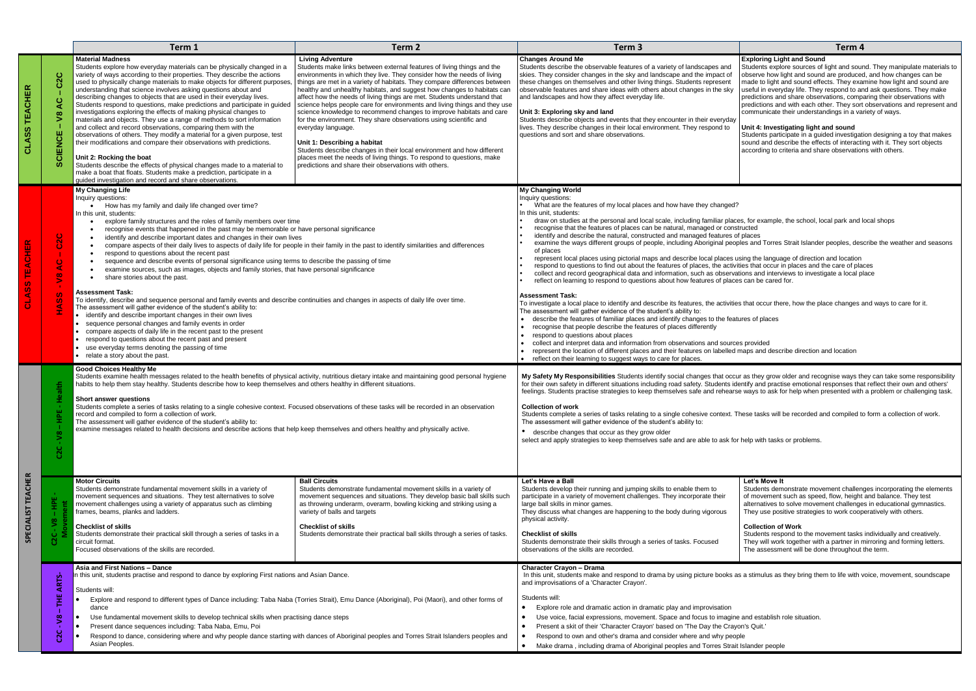|                                  |                                                                            | Term 1                                                                                                                                                                                                                                                                                                                                                                                                                                                                                                                                                                                                                                                                                                                                                                                                                                                                                                                                                                                                                                                                                                                                                                                                                                                                                                                         | Term 2                                                                                                                                                                                                                                                                                                                                                                                                                                                                                                                                                                                                                                                                                                                                                                                                                                                                                                    | Term 3                                                                                                                                                                                                                                                                                                                                                                                                                                                                                                                                                                                                                                                                                                                                                                                                                                                                                                                                                                                                                                                                                                                                                                                                                                                                                                                                                                                                                                                                                                                                                                                                                                                                                                                                                                                                                                  | Term 4                                                                                                                                                                                                                                                                                                                                                                                                                                                                                                                                                                                                                                                                                                                                                                                                             |  |
|----------------------------------|----------------------------------------------------------------------------|--------------------------------------------------------------------------------------------------------------------------------------------------------------------------------------------------------------------------------------------------------------------------------------------------------------------------------------------------------------------------------------------------------------------------------------------------------------------------------------------------------------------------------------------------------------------------------------------------------------------------------------------------------------------------------------------------------------------------------------------------------------------------------------------------------------------------------------------------------------------------------------------------------------------------------------------------------------------------------------------------------------------------------------------------------------------------------------------------------------------------------------------------------------------------------------------------------------------------------------------------------------------------------------------------------------------------------|-----------------------------------------------------------------------------------------------------------------------------------------------------------------------------------------------------------------------------------------------------------------------------------------------------------------------------------------------------------------------------------------------------------------------------------------------------------------------------------------------------------------------------------------------------------------------------------------------------------------------------------------------------------------------------------------------------------------------------------------------------------------------------------------------------------------------------------------------------------------------------------------------------------|-----------------------------------------------------------------------------------------------------------------------------------------------------------------------------------------------------------------------------------------------------------------------------------------------------------------------------------------------------------------------------------------------------------------------------------------------------------------------------------------------------------------------------------------------------------------------------------------------------------------------------------------------------------------------------------------------------------------------------------------------------------------------------------------------------------------------------------------------------------------------------------------------------------------------------------------------------------------------------------------------------------------------------------------------------------------------------------------------------------------------------------------------------------------------------------------------------------------------------------------------------------------------------------------------------------------------------------------------------------------------------------------------------------------------------------------------------------------------------------------------------------------------------------------------------------------------------------------------------------------------------------------------------------------------------------------------------------------------------------------------------------------------------------------------------------------------------------------|--------------------------------------------------------------------------------------------------------------------------------------------------------------------------------------------------------------------------------------------------------------------------------------------------------------------------------------------------------------------------------------------------------------------------------------------------------------------------------------------------------------------------------------------------------------------------------------------------------------------------------------------------------------------------------------------------------------------------------------------------------------------------------------------------------------------|--|
| <b>ACHER</b><br>۳.<br><b>ASS</b> | ပ<br>ပ<br>$\tilde{z}$<br>CIENCE                                            | <b>Material Madness</b><br>Students explore how everyday materials can be physically changed in a<br>variety of ways according to their properties. They describe the actions<br>used to physically change materials to make objects for different purposes<br>understanding that science involves asking questions about and<br>describing changes to objects that are used in their everyday lives.<br>Students respond to questions, make predictions and participate in guided<br>investigations exploring the effects of making physical changes to<br>materials and objects. They use a range of methods to sort information<br>and collect and record observations, comparing them with the<br>observations of others. They modify a material for a given purpose, test<br>their modifications and compare their observations with predictions.<br>Unit 2: Rocking the boat<br>Students describe the effects of physical changes made to a material to<br>make a boat that floats. Students make a prediction, participate in a<br>guided investigation and record and share observations.                                                                                                                                                                                                                              | <b>Living Adventure</b><br>Students make links between external features of living things and the<br>environments in which they live. They consider how the needs of living<br>things are met in a variety of habitats. They compare differences between<br>healthy and unhealthy habitats, and suggest how changes to habitats can<br>affect how the needs of living things are met. Students understand that<br>science helps people care for environments and living things and they use<br>science knowledge to recommend changes to improve habitats and care<br>for the environment. They share observations using scientific and<br>everyday language.<br>Unit 1: Describing a habitat<br>Students describe changes in their local environment and how different<br>places meet the needs of living things. To respond to questions, make<br>predictions and share their observations with others. | <b>Changes Around Me</b><br>Students describe the observable features of a variety of landscapes and<br>skies. They consider changes in the sky and landscape and the impact of<br>these changes on themselves and other living things. Students represent<br>observable features and share ideas with others about changes in the sky<br>and landscapes and how they affect everyday life.<br>Unit 3: Exploring sky and land<br>Students describe objects and events that they encounter in their everyday<br>lives. They describe changes in their local environment. They respond to<br>questions and sort and share observations.                                                                                                                                                                                                                                                                                                                                                                                                                                                                                                                                                                                                                                                                                                                                                                                                                                                                                                                                                                                                                                                                                                                                                                                                   | <b>Exploring Light and Sound</b><br>Students explore sources of light and sound. They manipulate materials to<br>observe how light and sound are produced, and how changes can be<br>made to light and sound effects. They examine how light and sound are<br>useful in everyday life. They respond to and ask questions. They make<br>predictions and share observations, comparing their observations with<br>predictions and with each other. They sort observations and represent and<br>communicate their understandings in a variety of ways.<br>Unit 4: Investigating light and sound<br>Students participate in a guided investigation designing a toy that makes<br>sound and describe the effects of interacting with it. They sort objects<br>according to criteria and share observations with others. |  |
|                                  | $\circ$<br>$\sim$<br>$\circ$<br>$\infty$<br><b>U</b><br>-U.<br><b>Tara</b> | <b>My Changing Life</b><br>Inquiry questions:<br>How has my family and daily life changed over time?<br>In this unit, students:<br>explore family structures and the roles of family members over time<br>$\bullet$<br>recognise events that happened in the past may be memorable or have personal significance<br>$\bullet$<br>identify and describe important dates and changes in their own lives<br>$\bullet$<br>$\bullet$<br>respond to questions about the recent past<br>$\bullet$<br>sequence and describe events of personal significance using terms to describe the passing of time<br>examine sources, such as images, objects and family stories, that have personal significance<br>share stories about the past.<br><b>Assessment Task:</b><br>To identify, describe and sequence personal and family events and describe continuities and changes in aspects of daily life over time.<br>The assessment will gather evidence of the student's ability to:<br>• identify and describe important changes in their own lives<br>• sequence personal changes and family events in order<br>• compare aspects of daily life in the recent past to the present<br>• respond to questions about the recent past and present<br>• use everyday terms denoting the passing of time<br>• relate a story about the past. | compare aspects of their daily lives to aspects of daily life for people in their family in the past to identify similarities and differences                                                                                                                                                                                                                                                                                                                                                                                                                                                                                                                                                                                                                                                                                                                                                             | <b>My Changing World</b><br>Inquiry questions:<br>What are the features of my local places and how have they changed?<br>In this unit, students:<br>draw on studies at the personal and local scale, including familiar places, for example, the school, local park and local shops<br>recognise that the features of places can be natural, managed or constructed<br>identify and describe the natural, constructed and managed features of places<br>examine the ways different groups of people, including Aboriginal peoples and Torres Strait Islander peoples, describe the weather and seasons<br>of places<br>represent local places using pictorial maps and describe local places using the language of direction and location<br>respond to questions to find out about the features of places, the activities that occur in places and the care of places<br>collect and record geographical data and information, such as observations and interviews to investigate a local place<br>reflect on learning to respond to questions about how features of places can be cared for.<br><b>Assessment Task:</b><br>To investigate a local place to identify and describe its features, the activities that occur there, how the place changes and ways to care for it.<br>The assessment will gather evidence of the student's ability to:<br>• describe the features of familiar places and identify changes to the features of places<br>recognise that people describe the features of places differently<br>respond to questions about places<br>collect and interpret data and information from observations and sources provided<br>represent the location of different places and their features on labelled maps and describe direction and location<br>reflect on their learning to suggest ways to care for places. |                                                                                                                                                                                                                                                                                                                                                                                                                                                                                                                                                                                                                                                                                                                                                                                                                    |  |
|                                  |                                                                            | <b>Good Choices Healthy Me</b><br>Students examine health messages related to the health benefits of physical activity, nutritious dietary intake and maintaining good personal hygiene<br>habits to help them stay healthy. Students describe how to keep themselves and others healthy in different situations.<br>Short answer questions<br>Students complete a series of tasks relating to a single cohesive context. Focused observations of these tasks will be recorded in an observation<br>record and compiled to form a collection of work.<br>The assessment will gather evidence of the student's ability to:<br>examine messages related to health decisions and describe actions that help keep themselves and others healthy and physically active.                                                                                                                                                                                                                                                                                                                                                                                                                                                                                                                                                             |                                                                                                                                                                                                                                                                                                                                                                                                                                                                                                                                                                                                                                                                                                                                                                                                                                                                                                           | My Safety My Responsibilities Students identify social changes that occur as they grow older and recognise ways they can take some responsibility<br>for their own safety in different situations including road safety. Students identify and practise emotional responses that reflect their own and others'<br>feelings. Students practise strategies to keep themselves safe and rehearse ways to ask for help when presented with a problem or challenging task.<br><b>Collection of work</b><br>Students complete a series of tasks relating to a single cohesive context. These tasks will be recorded and compiled to form a collection of work.<br>The assessment will gather evidence of the student's ability to:<br>• describe changes that occur as they grow older<br>select and apply strategies to keep themselves safe and are able to ask for help with tasks or problems.                                                                                                                                                                                                                                                                                                                                                                                                                                                                                                                                                                                                                                                                                                                                                                                                                                                                                                                                            |                                                                                                                                                                                                                                                                                                                                                                                                                                                                                                                                                                                                                                                                                                                                                                                                                    |  |
| <b>TEACHER</b><br><b>CIALIST</b> | Ìан<br>$\overline{\mathbf{S}}$<br>C2C                                      | <b>Motor Circuits</b><br>Students demonstrate fundamental movement skills in a variety of<br>movement sequences and situations. They test alternatives to solve<br>movement challenges using a variety of apparatus such as climbing<br>frames, beams, planks and ladders.<br>Checklist of skills<br>Students demonstrate their practical skill through a series of tasks in a<br>circuit format.<br>Focused observations of the skills are recorded.                                                                                                                                                                                                                                                                                                                                                                                                                                                                                                                                                                                                                                                                                                                                                                                                                                                                          | <b>Ball Circuits</b><br>Students demonstrate fundamental movement skills in a variety of<br>movement sequences and situations. They develop basic ball skills such<br>as throwing underarm, overarm, bowling kicking and striking using a<br>variety of balls and targets<br><b>Checklist of skills</b><br>Students demonstrate their practical ball skills through a series of tasks.                                                                                                                                                                                                                                                                                                                                                                                                                                                                                                                    | Let's Have a Ball<br>Students develop their running and jumping skills to enable them to<br>participate in a variety of movement challenges. They incorporate their<br>large ball skills in minor games.<br>They discuss what changes are happening to the body during vigorous<br>physical activity.<br><b>Checklist of skills</b><br>Students demonstrate their skills through a series of tasks. Focused<br>observations of the skills are recorded.                                                                                                                                                                                                                                                                                                                                                                                                                                                                                                                                                                                                                                                                                                                                                                                                                                                                                                                                                                                                                                                                                                                                                                                                                                                                                                                                                                                 | Let's Move It<br>Students demonstrate movement challenges incorporating the elements<br>of movement such as speed, flow, height and balance. They test<br>alternatives to solve movement challenges in educational gymnastics.<br>They use positive strategies to work cooperatively with others.<br><b>Collection of Work</b><br>Students respond to the movement tasks individually and creatively.<br>They will work together with a partner in mirroring and forming letters.<br>The assessment will be done throughout the term.                                                                                                                                                                                                                                                                              |  |
|                                  | Ò.<br><b>ART</b><br>뿦<br>$\boldsymbol{\mathsf{s}}$<br>ပ<br><u>ប</u>        | Asia and First Nations - Dance<br>this unit, students practise and respond to dance by exploring First nations and Asian Dance.<br>Students will:<br>Explore and respond to different types of Dance including: Taba Naba (Torries Strait), Emu Dance (Aboriginal), Poi (Maori), and other forms of<br>dance<br>Use fundamental movement skills to develop technical skills when practising dance steps<br>Present dance sequences including: Taba Naba, Emu, Poi<br>Respond to dance, considering where and why people dance starting with dances of Aboriginal peoples and Torres Strait Islanders peoples and<br>Asian Peoples.                                                                                                                                                                                                                                                                                                                                                                                                                                                                                                                                                                                                                                                                                             |                                                                                                                                                                                                                                                                                                                                                                                                                                                                                                                                                                                                                                                                                                                                                                                                                                                                                                           | <b>Character Crayon - Drama</b><br>In this unit, students make and respond to drama by using picture books as a stimulus as they bring them to life with voice, movement, soundscape<br>and improvisations of a 'Character Crayon'.<br>Students will:<br>Explore role and dramatic action in dramatic play and improvisation<br>Use voice, facial expressions, movement. Space and focus to imagine and establish role situation.<br>Present a skit of their 'Character Crayon' based on 'The Day the Crayon's Quit.'<br>Respond to own and other's drama and consider where and why people<br>Make drama, including drama of Aboriginal peoples and Torres Strait Islander people                                                                                                                                                                                                                                                                                                                                                                                                                                                                                                                                                                                                                                                                                                                                                                                                                                                                                                                                                                                                                                                                                                                                                      |                                                                                                                                                                                                                                                                                                                                                                                                                                                                                                                                                                                                                                                                                                                                                                                                                    |  |

- 
- 
-